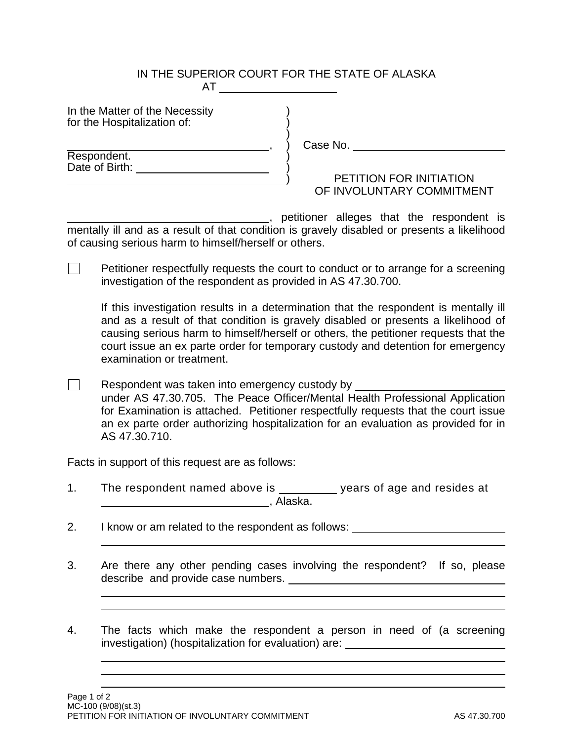## IN THE SUPERIOR COURT FOR THE STATE OF ALASKA AT

In the Matter of the Necessity for the Hospitalization of:  $\left( \frac{1}{2} \right)$ 

, ) Case No.

Respondent. (a) Date of Birth: )

) PETITION FOR INITIATION OF INVOLUNTARY COMMITMENT

, petitioner alleges that the respondent is mentally ill and as a result of that condition is gravely disabled or presents a likelihood of causing serious harm to himself/herself or others.

 $\Box$  Petitioner respectfully requests the court to conduct or to arrange for a screening investigation of the respondent as provided in AS 47.30.700.

If this investigation results in a determination that the respondent is mentally ill and as a result of that condition is gravely disabled or presents a likelihood of causing serious harm to himself/herself or others, the petitioner requests that the court issue an ex parte order for temporary custody and detention for emergency examination or treatment.

**Respondent was taken into emergency custody by \_\_\_\_\_\_\_\_\_\_\_\_\_\_\_\_\_\_\_**  under AS 47.30.705. The Peace Officer/Mental Health Professional Application for Examination is attached. Petitioner respectfully requests that the court issue an ex parte order authorizing hospitalization for an evaluation as provided for in AS 47.30.710.

Facts in support of this request are as follows:

- 1. The respondent named above is \_\_\_\_\_\_\_\_\_ years of age and resides at , Alaska.
- 2. I know or am related to the respondent as follows:
- 3. Are there any other pending cases involving the respondent? If so, please describe and provide case numbers.
- 4. The facts which make the respondent a person in need of (a screening investigation) (hospitalization for evaluation) are:

Page 1 of 2 MC-100 (9/08)(st.3) PETITION FOR INITIATION OF INVOLUNTARY COMMITMENT **AS 47.30.700** AS 47.30.700